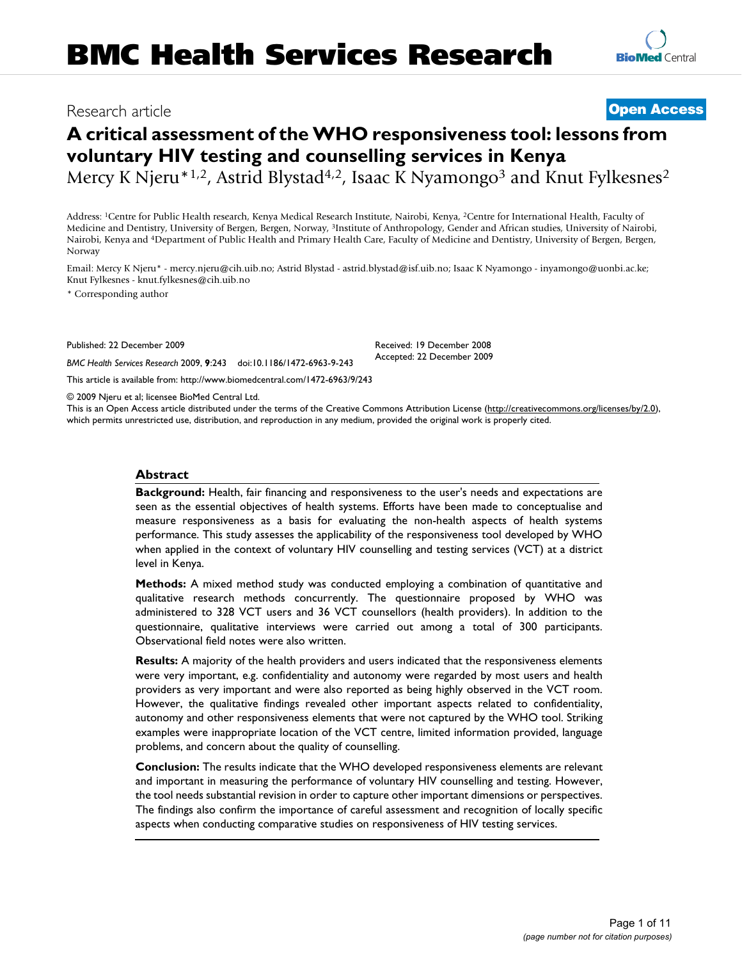## Research article **[Open Access](http://www.biomedcentral.com/info/about/charter/)**

# **A critical assessment of the WHO responsiveness tool: lessons from voluntary HIV testing and counselling services in Kenya**

Mercy K Njeru\*<sup>1,2</sup>, Astrid Blystad<sup>4,2</sup>, Isaac K Nyamongo<sup>3</sup> and Knut Fylkesnes<sup>2</sup>

Address: 1Centre for Public Health research, Kenya Medical Research Institute, Nairobi, Kenya, 2Centre for International Health, Faculty of Medicine and Dentistry, University of Bergen, Bergen, Norway, 3Institute of Anthropology, Gender and African studies, University of Nairobi, Nairobi, Kenya and 4Department of Public Health and Primary Health Care, Faculty of Medicine and Dentistry, University of Bergen, Bergen, Norway

Email: Mercy K Njeru\* - mercy.njeru@cih.uib.no; Astrid Blystad - astrid.blystad@isf.uib.no; Isaac K Nyamongo - inyamongo@uonbi.ac.ke; Knut Fylkesnes - knut.fylkesnes@cih.uib.no

\* Corresponding author

Published: 22 December 2009

*BMC Health Services Research* 2009, **9**:243 doi:10.1186/1472-6963-9-243

[This article is available from: http://www.biomedcentral.com/1472-6963/9/243](http://www.biomedcentral.com/1472-6963/9/243)

© 2009 Njeru et al; licensee BioMed Central Ltd.

This is an Open Access article distributed under the terms of the Creative Commons Attribution License [\(http://creativecommons.org/licenses/by/2.0\)](http://creativecommons.org/licenses/by/2.0), which permits unrestricted use, distribution, and reproduction in any medium, provided the original work is properly cited.

Received: 19 December 2008 Accepted: 22 December 2009

#### **Abstract**

**Background:** Health, fair financing and responsiveness to the user's needs and expectations are seen as the essential objectives of health systems. Efforts have been made to conceptualise and measure responsiveness as a basis for evaluating the non-health aspects of health systems performance. This study assesses the applicability of the responsiveness tool developed by WHO when applied in the context of voluntary HIV counselling and testing services (VCT) at a district level in Kenya.

**Methods:** A mixed method study was conducted employing a combination of quantitative and qualitative research methods concurrently. The questionnaire proposed by WHO was administered to 328 VCT users and 36 VCT counsellors (health providers). In addition to the questionnaire, qualitative interviews were carried out among a total of 300 participants. Observational field notes were also written.

**Results:** A majority of the health providers and users indicated that the responsiveness elements were very important, e.g. confidentiality and autonomy were regarded by most users and health providers as very important and were also reported as being highly observed in the VCT room. However, the qualitative findings revealed other important aspects related to confidentiality, autonomy and other responsiveness elements that were not captured by the WHO tool. Striking examples were inappropriate location of the VCT centre, limited information provided, language problems, and concern about the quality of counselling.

**Conclusion:** The results indicate that the WHO developed responsiveness elements are relevant and important in measuring the performance of voluntary HIV counselling and testing. However, the tool needs substantial revision in order to capture other important dimensions or perspectives. The findings also confirm the importance of careful assessment and recognition of locally specific aspects when conducting comparative studies on responsiveness of HIV testing services.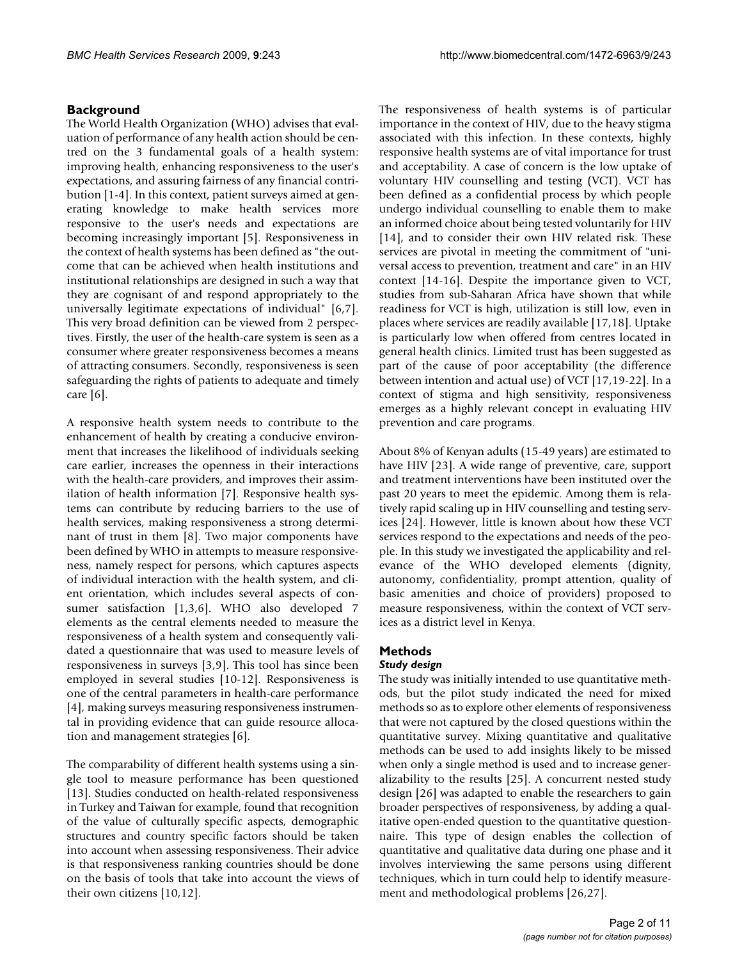## **Background**

The World Health Organization (WHO) advises that evaluation of performance of any health action should be centred on the 3 fundamental goals of a health system: improving health, enhancing responsiveness to the user's expectations, and assuring fairness of any financial contribution [1-4]. In this context, patient surveys aimed at generating knowledge to make health services more responsive to the user's needs and expectations are becoming increasingly important [5]. Responsiveness in the context of health systems has been defined as "the outcome that can be achieved when health institutions and institutional relationships are designed in such a way that they are cognisant of and respond appropriately to the universally legitimate expectations of individual" [6,7]. This very broad definition can be viewed from 2 perspectives. Firstly, the user of the health-care system is seen as a consumer where greater responsiveness becomes a means of attracting consumers. Secondly, responsiveness is seen safeguarding the rights of patients to adequate and timely care [6].

A responsive health system needs to contribute to the enhancement of health by creating a conducive environment that increases the likelihood of individuals seeking care earlier, increases the openness in their interactions with the health-care providers, and improves their assimilation of health information [7]. Responsive health systems can contribute by reducing barriers to the use of health services, making responsiveness a strong determinant of trust in them [8]. Two major components have been defined by WHO in attempts to measure responsiveness, namely respect for persons, which captures aspects of individual interaction with the health system, and client orientation, which includes several aspects of consumer satisfaction [1,3,6]. WHO also developed 7 elements as the central elements needed to measure the responsiveness of a health system and consequently validated a questionnaire that was used to measure levels of responsiveness in surveys [3,9]. This tool has since been employed in several studies [10-12]. Responsiveness is one of the central parameters in health-care performance [4], making surveys measuring responsiveness instrumental in providing evidence that can guide resource allocation and management strategies [6].

The comparability of different health systems using a single tool to measure performance has been questioned [13]. Studies conducted on health-related responsiveness in Turkey and Taiwan for example, found that recognition of the value of culturally specific aspects, demographic structures and country specific factors should be taken into account when assessing responsiveness. Their advice is that responsiveness ranking countries should be done on the basis of tools that take into account the views of their own citizens [10,12].

The responsiveness of health systems is of particular importance in the context of HIV, due to the heavy stigma associated with this infection. In these contexts, highly responsive health systems are of vital importance for trust and acceptability. A case of concern is the low uptake of voluntary HIV counselling and testing (VCT). VCT has been defined as a confidential process by which people undergo individual counselling to enable them to make an informed choice about being tested voluntarily for HIV [14], and to consider their own HIV related risk. These services are pivotal in meeting the commitment of "universal access to prevention, treatment and care" in an HIV context [14-16]. Despite the importance given to VCT, studies from sub-Saharan Africa have shown that while readiness for VCT is high, utilization is still low, even in places where services are readily available [17,18]. Uptake is particularly low when offered from centres located in general health clinics. Limited trust has been suggested as part of the cause of poor acceptability (the difference between intention and actual use) of VCT [17,19-22]. In a context of stigma and high sensitivity, responsiveness emerges as a highly relevant concept in evaluating HIV prevention and care programs.

About 8% of Kenyan adults (15-49 years) are estimated to have HIV [23]. A wide range of preventive, care, support and treatment interventions have been instituted over the past 20 years to meet the epidemic. Among them is relatively rapid scaling up in HIV counselling and testing services [24]. However, little is known about how these VCT services respond to the expectations and needs of the people. In this study we investigated the applicability and relevance of the WHO developed elements (dignity, autonomy, confidentiality, prompt attention, quality of basic amenities and choice of providers) proposed to measure responsiveness, within the context of VCT services as a district level in Kenya.

## **Methods**

## *Study design*

The study was initially intended to use quantitative methods, but the pilot study indicated the need for mixed methods so as to explore other elements of responsiveness that were not captured by the closed questions within the quantitative survey. Mixing quantitative and qualitative methods can be used to add insights likely to be missed when only a single method is used and to increase generalizability to the results [25]. A concurrent nested study design [26] was adapted to enable the researchers to gain broader perspectives of responsiveness, by adding a qualitative open-ended question to the quantitative questionnaire. This type of design enables the collection of quantitative and qualitative data during one phase and it involves interviewing the same persons using different techniques, which in turn could help to identify measurement and methodological problems [26,27].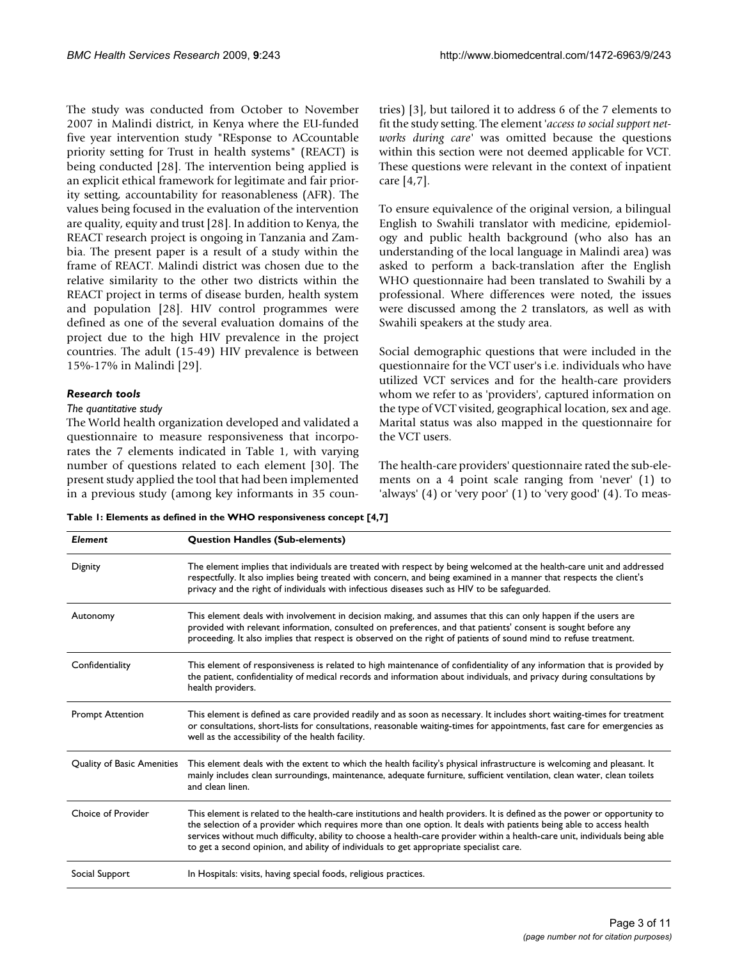The study was conducted from October to November 2007 in Malindi district, in Kenya where the EU-funded five year intervention study "REsponse to ACcountable priority setting for Trust in health systems" (REACT) is being conducted [28]. The intervention being applied is an explicit ethical framework for legitimate and fair priority setting, accountability for reasonableness (AFR). The values being focused in the evaluation of the intervention are quality, equity and trust [28]. In addition to Kenya, the REACT research project is ongoing in Tanzania and Zambia. The present paper is a result of a study within the frame of REACT. Malindi district was chosen due to the relative similarity to the other two districts within the REACT project in terms of disease burden, health system and population [28]. HIV control programmes were defined as one of the several evaluation domains of the project due to the high HIV prevalence in the project countries. The adult (15-49) HIV prevalence is between 15%-17% in Malindi [29].

#### *Research tools*

#### *The quantitative study*

The World health organization developed and validated a questionnaire to measure responsiveness that incorporates the 7 elements indicated in Table 1, with varying number of questions related to each element [30]. The present study applied the tool that had been implemented in a previous study (among key informants in 35 countries) [3], but tailored it to address 6 of the 7 elements to fit the study setting. The element '*access to social support networks during care'* was omitted because the questions within this section were not deemed applicable for VCT. These questions were relevant in the context of inpatient care [4,7].

To ensure equivalence of the original version, a bilingual English to Swahili translator with medicine, epidemiology and public health background (who also has an understanding of the local language in Malindi area) was asked to perform a back-translation after the English WHO questionnaire had been translated to Swahili by a professional. Where differences were noted, the issues were discussed among the 2 translators, as well as with Swahili speakers at the study area.

Social demographic questions that were included in the questionnaire for the VCT user's i.e. individuals who have utilized VCT services and for the health-care providers whom we refer to as 'providers', captured information on the type of VCT visited, geographical location, sex and age. Marital status was also mapped in the questionnaire for the VCT users.

The health-care providers' questionnaire rated the sub-elements on a 4 point scale ranging from 'never' (1) to 'always' (4) or 'very poor' (1) to 'very good' (4). To meas-

| <b>Element</b>             | <b>Question Handles (Sub-elements)</b>                                                                                                                                                                                                                                                                                                                                                                                                                                       |
|----------------------------|------------------------------------------------------------------------------------------------------------------------------------------------------------------------------------------------------------------------------------------------------------------------------------------------------------------------------------------------------------------------------------------------------------------------------------------------------------------------------|
| Dignity                    | The element implies that individuals are treated with respect by being welcomed at the health-care unit and addressed<br>respectfully. It also implies being treated with concern, and being examined in a manner that respects the client's<br>privacy and the right of individuals with infectious diseases such as HIV to be safeguarded.                                                                                                                                 |
| Autonomy                   | This element deals with involvement in decision making, and assumes that this can only happen if the users are<br>provided with relevant information, consulted on preferences, and that patients' consent is sought before any<br>proceeding. It also implies that respect is observed on the right of patients of sound mind to refuse treatment.                                                                                                                          |
| Confidentiality            | This element of responsiveness is related to high maintenance of confidentiality of any information that is provided by<br>the patient, confidentiality of medical records and information about individuals, and privacy during consultations by<br>health providers.                                                                                                                                                                                                       |
| <b>Prompt Attention</b>    | This element is defined as care provided readily and as soon as necessary. It includes short waiting-times for treatment<br>or consultations, short-lists for consultations, reasonable waiting-times for appointments, fast care for emergencies as<br>well as the accessibility of the health facility.                                                                                                                                                                    |
| Quality of Basic Amenities | This element deals with the extent to which the health facility's physical infrastructure is welcoming and pleasant. It<br>mainly includes clean surroundings, maintenance, adequate furniture, sufficient ventilation, clean water, clean toilets<br>and clean linen.                                                                                                                                                                                                       |
| Choice of Provider         | This element is related to the health-care institutions and health providers. It is defined as the power or opportunity to<br>the selection of a provider which requires more than one option. It deals with patients being able to access health<br>services without much difficulty, ability to choose a health-care provider within a health-care unit, individuals being able<br>to get a second opinion, and ability of individuals to get appropriate specialist care. |
| Social Support             | In Hospitals: visits, having special foods, religious practices.                                                                                                                                                                                                                                                                                                                                                                                                             |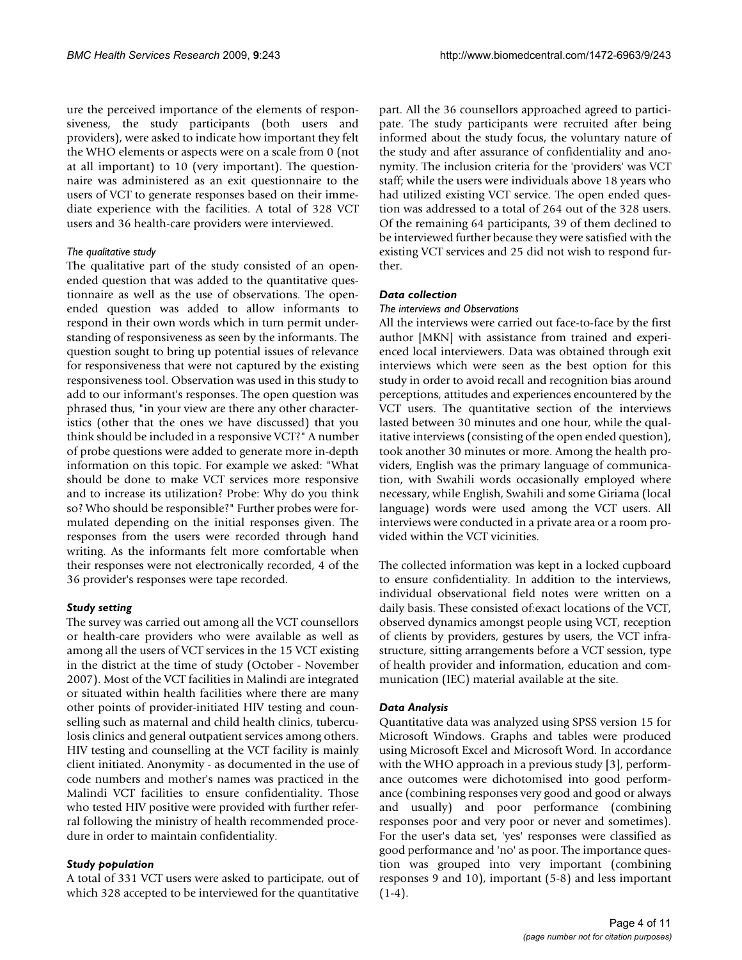ure the perceived importance of the elements of responsiveness, the study participants (both users and providers), were asked to indicate how important they felt the WHO elements or aspects were on a scale from 0 (not at all important) to 10 (very important). The questionnaire was administered as an exit questionnaire to the users of VCT to generate responses based on their immediate experience with the facilities. A total of 328 VCT users and 36 health-care providers were interviewed.

#### *The qualitative study*

The qualitative part of the study consisted of an openended question that was added to the quantitative questionnaire as well as the use of observations. The openended question was added to allow informants to respond in their own words which in turn permit understanding of responsiveness as seen by the informants. The question sought to bring up potential issues of relevance for responsiveness that were not captured by the existing responsiveness tool. Observation was used in this study to add to our informant's responses. The open question was phrased thus, "in your view are there any other characteristics (other that the ones we have discussed) that you think should be included in a responsive VCT?" A number of probe questions were added to generate more in-depth information on this topic. For example we asked: "What should be done to make VCT services more responsive and to increase its utilization? Probe: Why do you think so? Who should be responsible?" Further probes were formulated depending on the initial responses given. The responses from the users were recorded through hand writing. As the informants felt more comfortable when their responses were not electronically recorded, 4 of the 36 provider's responses were tape recorded.

#### *Study setting*

The survey was carried out among all the VCT counsellors or health-care providers who were available as well as among all the users of VCT services in the 15 VCT existing in the district at the time of study (October - November 2007). Most of the VCT facilities in Malindi are integrated or situated within health facilities where there are many other points of provider-initiated HIV testing and counselling such as maternal and child health clinics, tuberculosis clinics and general outpatient services among others. HIV testing and counselling at the VCT facility is mainly client initiated. Anonymity - as documented in the use of code numbers and mother's names was practiced in the Malindi VCT facilities to ensure confidentiality. Those who tested HIV positive were provided with further referral following the ministry of health recommended procedure in order to maintain confidentiality.

#### *Study population*

A total of 331 VCT users were asked to participate, out of which 328 accepted to be interviewed for the quantitative

part. All the 36 counsellors approached agreed to participate. The study participants were recruited after being informed about the study focus, the voluntary nature of the study and after assurance of confidentiality and anonymity. The inclusion criteria for the 'providers' was VCT staff; while the users were individuals above 18 years who had utilized existing VCT service. The open ended question was addressed to a total of 264 out of the 328 users. Of the remaining 64 participants, 39 of them declined to be interviewed further because they were satisfied with the existing VCT services and 25 did not wish to respond further.

#### *Data collection*

#### *The interviews and Observations*

All the interviews were carried out face-to-face by the first author [MKN] with assistance from trained and experienced local interviewers. Data was obtained through exit interviews which were seen as the best option for this study in order to avoid recall and recognition bias around perceptions, attitudes and experiences encountered by the VCT users. The quantitative section of the interviews lasted between 30 minutes and one hour, while the qualitative interviews (consisting of the open ended question), took another 30 minutes or more. Among the health providers, English was the primary language of communication, with Swahili words occasionally employed where necessary, while English, Swahili and some Giriama (local language) words were used among the VCT users. All interviews were conducted in a private area or a room provided within the VCT vicinities.

The collected information was kept in a locked cupboard to ensure confidentiality. In addition to the interviews, individual observational field notes were written on a daily basis. These consisted of:exact locations of the VCT, observed dynamics amongst people using VCT, reception of clients by providers, gestures by users, the VCT infrastructure, sitting arrangements before a VCT session, type of health provider and information, education and communication (IEC) material available at the site.

#### *Data Analysis*

Quantitative data was analyzed using SPSS version 15 for Microsoft Windows. Graphs and tables were produced using Microsoft Excel and Microsoft Word. In accordance with the WHO approach in a previous study [3], performance outcomes were dichotomised into good performance (combining responses very good and good or always and usually) and poor performance (combining responses poor and very poor or never and sometimes). For the user's data set, 'yes' responses were classified as good performance and 'no' as poor. The importance question was grouped into very important (combining responses 9 and 10), important (5-8) and less important  $(1-4).$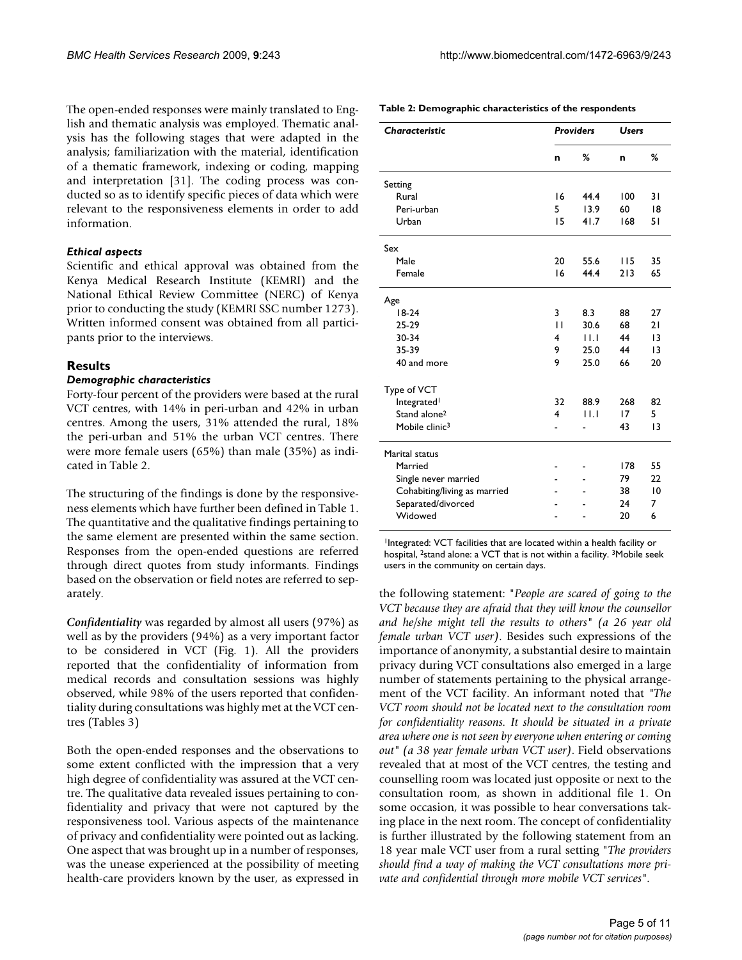The open-ended responses were mainly translated to English and thematic analysis was employed. Thematic analysis has the following stages that were adapted in the analysis; familiarization with the material, identification of a thematic framework, indexing or coding, mapping and interpretation [31]. The coding process was conducted so as to identify specific pieces of data which were relevant to the responsiveness elements in order to add information.

#### *Ethical aspects*

Scientific and ethical approval was obtained from the Kenya Medical Research Institute (KEMRI) and the National Ethical Review Committee (NERC) of Kenya prior to conducting the study (KEMRI SSC number 1273). Written informed consent was obtained from all participants prior to the interviews.

#### **Results**

#### *Demographic characteristics*

Forty-four percent of the providers were based at the rural VCT centres, with 14% in peri-urban and 42% in urban centres. Among the users, 31% attended the rural, 18% the peri-urban and 51% the urban VCT centres. There were more female users (65%) than male (35%) as indicated in Table 2.

The structuring of the findings is done by the responsiveness elements which have further been defined in Table 1. The quantitative and the qualitative findings pertaining to the same element are presented within the same section. Responses from the open-ended questions are referred through direct quotes from study informants. Findings based on the observation or field notes are referred to separately.

*Confidentiality* was regarded by almost all users (97%) as well as by the providers (94%) as a very important factor to be considered in VCT (Fig. 1). All the providers reported that the confidentiality of information from medical records and consultation sessions was highly observed, while 98% of the users reported that confidentiality during consultations was highly met at the VCT centres (Tables 3)

Both the open-ended responses and the observations to some extent conflicted with the impression that a very high degree of confidentiality was assured at the VCT centre. The qualitative data revealed issues pertaining to confidentiality and privacy that were not captured by the responsiveness tool. Various aspects of the maintenance of privacy and confidentiality were pointed out as lacking. One aspect that was brought up in a number of responses, was the unease experienced at the possibility of meeting health-care providers known by the user, as expressed in

| Table 2: Demographic characteristics of the respondents |  |  |  |
|---------------------------------------------------------|--|--|--|
|---------------------------------------------------------|--|--|--|

| <b>Characteristic</b>        | <b>Providers</b> |      | Users |                 |
|------------------------------|------------------|------|-------|-----------------|
|                              | n                | %    | n     | ℅               |
| Setting                      |                  |      |       |                 |
| Rural                        | 16               | 44.4 | 100   | 31              |
| Peri-urban                   | 5                | 13.9 | 60    | 18              |
| Urban                        | 15               | 41.7 | 168   | 51              |
| Sex                          |                  |      |       |                 |
| Male                         | 20               | 55.6 | 115   | 35              |
| Female                       | 16               | 44.4 | 213   | 65              |
| Age                          |                  |      |       |                 |
| $18-24$                      | 3                | 8.3  | 88    | 27              |
| 25-29                        | п                | 30.6 | 68    | 21              |
| 30-34                        | 4                | 11.1 | 44    | 13              |
| 35-39                        | 9                | 25.0 | 44    | 13              |
| 40 and more                  | 9                | 25.0 | 66    | 20              |
| Type of VCT                  |                  |      |       |                 |
| Integrated <sup>1</sup>      | 32               | 88.9 | 268   | 82              |
| Stand alone <sup>2</sup>     | 4                | 11.1 | 17    | 5               |
| Mobile clinic <sup>3</sup>   |                  |      | 43    | $\overline{13}$ |
| Marital status               |                  |      |       |                 |
| Married                      |                  |      | 178   | 55              |
| Single never married         |                  |      | 79    | 22              |
| Cohabiting/living as married |                  |      | 38    | 10              |
| Separated/divorced           |                  |      | 24    | 7               |
| Widowed                      |                  |      | 20    | 6               |
|                              |                  |      |       |                 |

1Integrated: VCT facilities that are located within a health facility or hospital, 2stand alone: a VCT that is not within a facility. 3Mobile seek users in the community on certain days.

the following statement: "*People are scared of going to the VCT because they are afraid that they will know the counsellor and he/she might tell the results to others" (a 26 year old female urban VCT user)*. Besides such expressions of the importance of anonymity, a substantial desire to maintain privacy during VCT consultations also emerged in a large number of statements pertaining to the physical arrangement of the VCT facility. An informant noted that *"The VCT room should not be located next to the consultation room for confidentiality reasons. It should be situated in a private area where one is not seen by everyone when entering or coming out" (a 38 year female urban VCT user)*. Field observations revealed that at most of the VCT centres, the testing and counselling room was located just opposite or next to the consultation room, as shown in additional file 1. On some occasion, it was possible to hear conversations taking place in the next room. The concept of confidentiality is further illustrated by the following statement from an 18 year male VCT user from a rural setting "*The providers should find a way of making the VCT consultations more private and confidential through more mobile VCT services"*.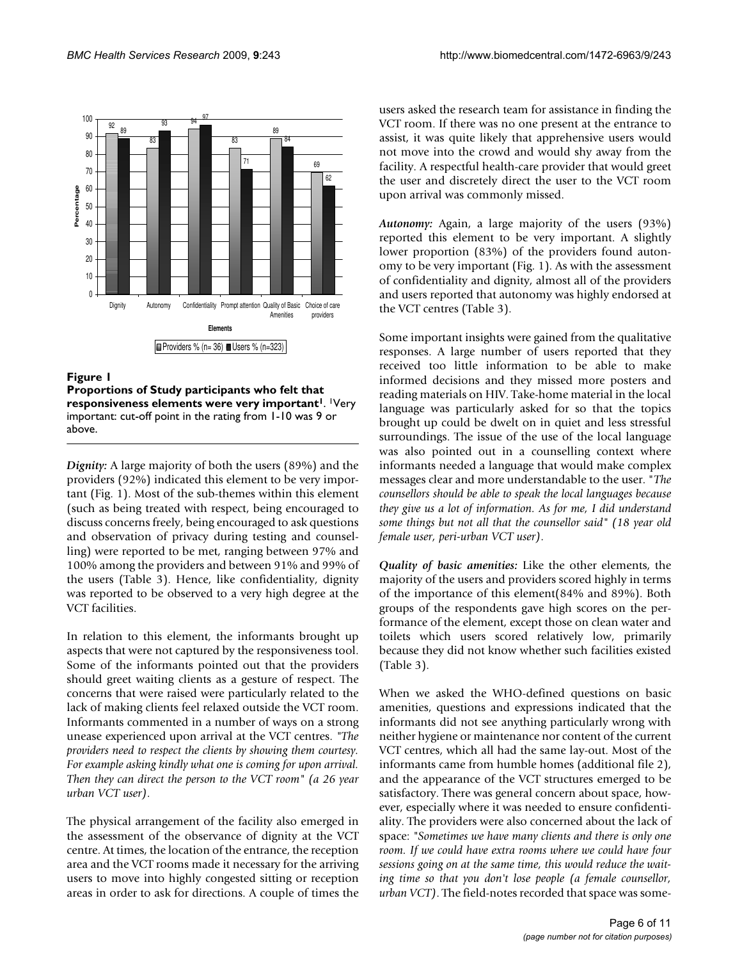

#### **Figure 1**

**Proportions of Study participants who felt that**  responsiveness elements were very important<sup>1</sup>. Very important: cut-off point in the rating from 1-10 was 9 or above.

*Dignity:* A large majority of both the users (89%) and the providers (92%) indicated this element to be very important (Fig. 1). Most of the sub-themes within this element (such as being treated with respect, being encouraged to discuss concerns freely, being encouraged to ask questions and observation of privacy during testing and counselling) were reported to be met, ranging between 97% and 100% among the providers and between 91% and 99% of the users (Table 3). Hence, like confidentiality, dignity was reported to be observed to a very high degree at the VCT facilities.

In relation to this element, the informants brought up aspects that were not captured by the responsiveness tool. Some of the informants pointed out that the providers should greet waiting clients as a gesture of respect. The concerns that were raised were particularly related to the lack of making clients feel relaxed outside the VCT room. Informants commented in a number of ways on a strong unease experienced upon arrival at the VCT centres. *"The providers need to respect the clients by showing them courtesy. For example asking kindly what one is coming for upon arrival. Then they can direct the person to the VCT room" (a 26 year urban VCT user)*.

The physical arrangement of the facility also emerged in the assessment of the observance of dignity at the VCT centre. At times, the location of the entrance, the reception area and the VCT rooms made it necessary for the arriving users to move into highly congested sitting or reception areas in order to ask for directions. A couple of times the users asked the research team for assistance in finding the VCT room. If there was no one present at the entrance to assist, it was quite likely that apprehensive users would not move into the crowd and would shy away from the facility. A respectful health-care provider that would greet the user and discretely direct the user to the VCT room upon arrival was commonly missed.

*Autonomy:* Again, a large majority of the users (93%) reported this element to be very important. A slightly lower proportion (83%) of the providers found autonomy to be very important (Fig. 1). As with the assessment of confidentiality and dignity, almost all of the providers and users reported that autonomy was highly endorsed at the VCT centres (Table 3).

Some important insights were gained from the qualitative responses. A large number of users reported that they received too little information to be able to make informed decisions and they missed more posters and reading materials on HIV. Take-home material in the local language was particularly asked for so that the topics brought up could be dwelt on in quiet and less stressful surroundings. The issue of the use of the local language was also pointed out in a counselling context where informants needed a language that would make complex messages clear and more understandable to the user. "*The counsellors should be able to speak the local languages because they give us a lot of information. As for me, I did understand some things but not all that the counsellor said" (18 year old female user, peri-urban VCT user)*.

*Quality of basic amenities:* Like the other elements, the majority of the users and providers scored highly in terms of the importance of this element(84% and 89%). Both groups of the respondents gave high scores on the performance of the element, except those on clean water and toilets which users scored relatively low, primarily because they did not know whether such facilities existed (Table 3).

When we asked the WHO-defined questions on basic amenities, questions and expressions indicated that the informants did not see anything particularly wrong with neither hygiene or maintenance nor content of the current VCT centres, which all had the same lay-out. Most of the informants came from humble homes (additional file 2), and the appearance of the VCT structures emerged to be satisfactory. There was general concern about space, however, especially where it was needed to ensure confidentiality. The providers were also concerned about the lack of space: *"Sometimes we have many clients and there is only one room. If we could have extra rooms where we could have four sessions going on at the same time, this would reduce the waiting time so that you don't lose people (a female counsellor, urban VCT)*. The field-notes recorded that space was some-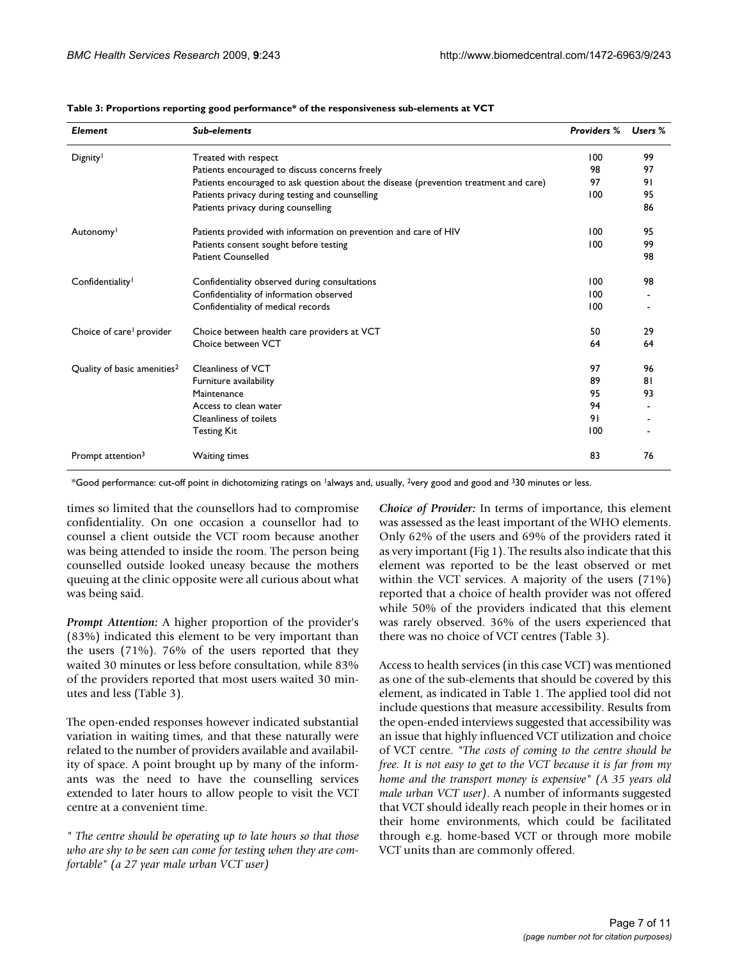| <b>Element</b>                          | Sub-elements                                                                          | <b>Providers %</b> | Users % |
|-----------------------------------------|---------------------------------------------------------------------------------------|--------------------|---------|
| Dignity <sup>1</sup>                    | Treated with respect                                                                  | 100                | 99      |
|                                         | Patients encouraged to discuss concerns freely                                        | 98                 | 97      |
|                                         | Patients encouraged to ask question about the disease (prevention treatment and care) | 97                 | 91      |
|                                         | Patients privacy during testing and counselling                                       | 100                | 95      |
|                                         | Patients privacy during counselling                                                   |                    | 86      |
| Autonomy                                | Patients provided with information on prevention and care of HIV                      | 100                | 95      |
|                                         | Patients consent sought before testing                                                | 100                | 99      |
|                                         | <b>Patient Counselled</b>                                                             |                    | 98      |
| Confidentiality                         | Confidentiality observed during consultations                                         | 100                | 98      |
|                                         | Confidentiality of information observed                                               | 100                |         |
|                                         | Confidentiality of medical records                                                    | 100                |         |
| Choice of care <sup>1</sup> provider    | Choice between health care providers at VCT                                           | 50                 | 29      |
|                                         | Choice between VCT                                                                    | 64                 | 64      |
| Quality of basic amenities <sup>2</sup> | Cleanliness of VCT                                                                    | 97                 | 96      |
|                                         | Furniture availability                                                                | 89                 | 81      |
|                                         | Maintenance                                                                           | 95                 | 93      |
|                                         | Access to clean water                                                                 | 94                 |         |
|                                         | Cleanliness of toilets                                                                | 91                 |         |
|                                         | <b>Testing Kit</b>                                                                    | 100                |         |
| Prompt attention <sup>3</sup>           | Waiting times                                                                         | 83                 | 76      |

**Table 3: Proportions reporting good performance\* of the responsiveness sub-elements at VCT**

\*Good performance: cut-off point in dichotomizing ratings on 1always and, usually, 2very good and good and 330 minutes or less.

times so limited that the counsellors had to compromise confidentiality. On one occasion a counsellor had to counsel a client outside the VCT room because another was being attended to inside the room. The person being counselled outside looked uneasy because the mothers queuing at the clinic opposite were all curious about what was being said.

*Prompt Attention:* A higher proportion of the provider's (83%) indicated this element to be very important than the users (71%). 76% of the users reported that they waited 30 minutes or less before consultation, while 83% of the providers reported that most users waited 30 minutes and less (Table 3).

The open-ended responses however indicated substantial variation in waiting times, and that these naturally were related to the number of providers available and availability of space. A point brought up by many of the informants was the need to have the counselling services extended to later hours to allow people to visit the VCT centre at a convenient time.

*" The centre should be operating up to late hours so that those who are shy to be seen can come for testing when they are comfortable" (a 27 year male urban VCT user)*

*Choice of Provider:* In terms of importance, this element was assessed as the least important of the WHO elements. Only 62% of the users and 69% of the providers rated it as very important (Fig 1). The results also indicate that this element was reported to be the least observed or met within the VCT services. A majority of the users (71%) reported that a choice of health provider was not offered while 50% of the providers indicated that this element was rarely observed. 36% of the users experienced that there was no choice of VCT centres (Table 3).

Access to health services (in this case VCT) was mentioned as one of the sub-elements that should be covered by this element, as indicated in Table 1. The applied tool did not include questions that measure accessibility. Results from the open-ended interviews suggested that accessibility was an issue that highly influenced VCT utilization and choice of VCT centre. *"The costs of coming to the centre should be free. It is not easy to get to the VCT because it is far from my home and the transport money is expensive" (A 35 years old male urban VCT user)*. A number of informants suggested that VCT should ideally reach people in their homes or in their home environments, which could be facilitated through e.g. home-based VCT or through more mobile VCT units than are commonly offered.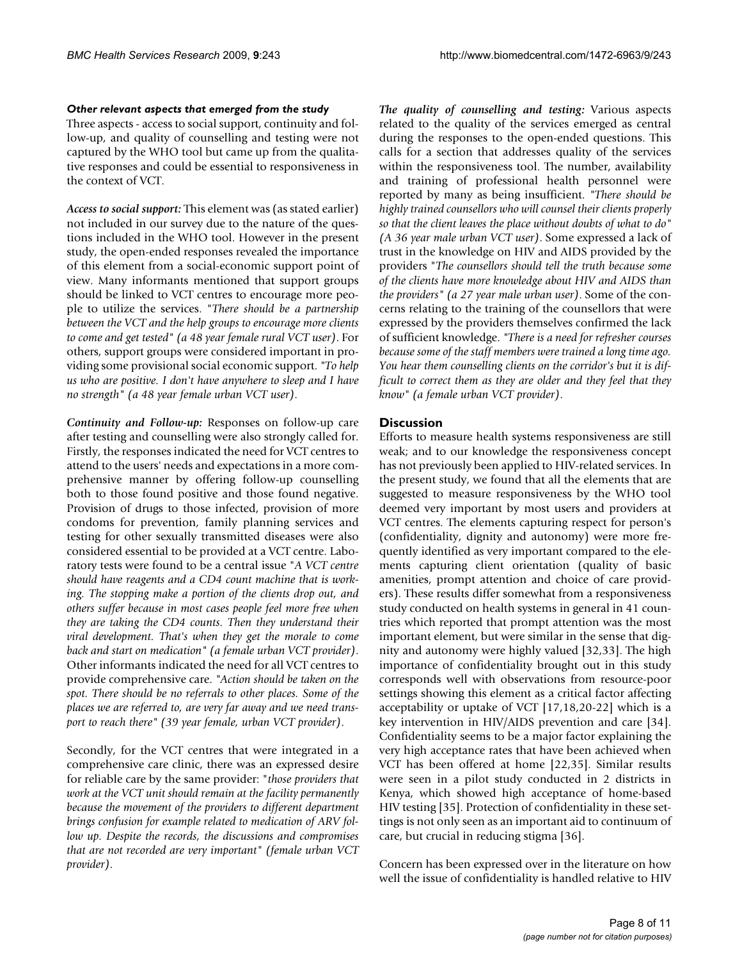#### *Other relevant aspects that emerged from the study*

Three aspects - access to social support, continuity and follow-up, and quality of counselling and testing were not captured by the WHO tool but came up from the qualitative responses and could be essential to responsiveness in the context of VCT.

*Access to social support:* This element was (as stated earlier) not included in our survey due to the nature of the questions included in the WHO tool. However in the present study, the open-ended responses revealed the importance of this element from a social-economic support point of view. Many informants mentioned that support groups should be linked to VCT centres to encourage more people to utilize the services. "*There should be a partnership between the VCT and the help groups to encourage more clients to come and get tested" (a 48 year female rural VCT user)*. For others, support groups were considered important in providing some provisional social economic support. *"To help us who are positive. I don't have anywhere to sleep and I have no strength" (a 48 year female urban VCT user)*.

*Continuity and Follow-up:* Responses on follow-up care after testing and counselling were also strongly called for. Firstly, the responses indicated the need for VCT centres to attend to the users' needs and expectations in a more comprehensive manner by offering follow-up counselling both to those found positive and those found negative. Provision of drugs to those infected, provision of more condoms for prevention, family planning services and testing for other sexually transmitted diseases were also considered essential to be provided at a VCT centre. Laboratory tests were found to be a central issue "*A VCT centre should have reagents and a CD4 count machine that is working. The stopping make a portion of the clients drop out, and others suffer because in most cases people feel more free when they are taking the CD4 counts. Then they understand their viral development. That's when they get the morale to come back and start on medication" (a female urban VCT provider)*. Other informants indicated the need for all VCT centres to provide comprehensive care. *"Action should be taken on the spot. There should be no referrals to other places. Some of the places we are referred to, are very far away and we need transport to reach there" (39 year female, urban VCT provider)*.

Secondly, for the VCT centres that were integrated in a comprehensive care clinic, there was an expressed desire for reliable care by the same provider: "*those providers that work at the VCT unit should remain at the facility permanently because the movement of the providers to different department brings confusion for example related to medication of ARV follow up. Despite the records, the discussions and compromises that are not recorded are very important" (female urban VCT provider)*.

*The quality of counselling and testing:* Various aspects related to the quality of the services emerged as central during the responses to the open-ended questions. This calls for a section that addresses quality of the services within the responsiveness tool. The number, availability and training of professional health personnel were reported by many as being insufficient. *"There should be highly trained counsellors who will counsel their clients properly so that the client leaves the place without doubts of what to do" (A 36 year male urban VCT user)*. Some expressed a lack of trust in the knowledge on HIV and AIDS provided by the providers "*The counsellors should tell the truth because some of the clients have more knowledge about HIV and AIDS than the providers" (a 27 year male urban user)*. Some of the concerns relating to the training of the counsellors that were expressed by the providers themselves confirmed the lack of sufficient knowledge. *"There is a need for refresher courses because some of the staff members were trained a long time ago. You hear them counselling clients on the corridor's but it is difficult to correct them as they are older and they feel that they know" (a female urban VCT provider)*.

#### **Discussion**

Efforts to measure health systems responsiveness are still weak; and to our knowledge the responsiveness concept has not previously been applied to HIV-related services. In the present study, we found that all the elements that are suggested to measure responsiveness by the WHO tool deemed very important by most users and providers at VCT centres. The elements capturing respect for person's (confidentiality, dignity and autonomy) were more frequently identified as very important compared to the elements capturing client orientation (quality of basic amenities, prompt attention and choice of care providers). These results differ somewhat from a responsiveness study conducted on health systems in general in 41 countries which reported that prompt attention was the most important element, but were similar in the sense that dignity and autonomy were highly valued [32,33]. The high importance of confidentiality brought out in this study corresponds well with observations from resource-poor settings showing this element as a critical factor affecting acceptability or uptake of VCT [17,18,20-22] which is a key intervention in HIV/AIDS prevention and care [34]. Confidentiality seems to be a major factor explaining the very high acceptance rates that have been achieved when VCT has been offered at home [22,35]. Similar results were seen in a pilot study conducted in 2 districts in Kenya, which showed high acceptance of home-based HIV testing [35]. Protection of confidentiality in these settings is not only seen as an important aid to continuum of care, but crucial in reducing stigma [36].

Concern has been expressed over in the literature on how well the issue of confidentiality is handled relative to HIV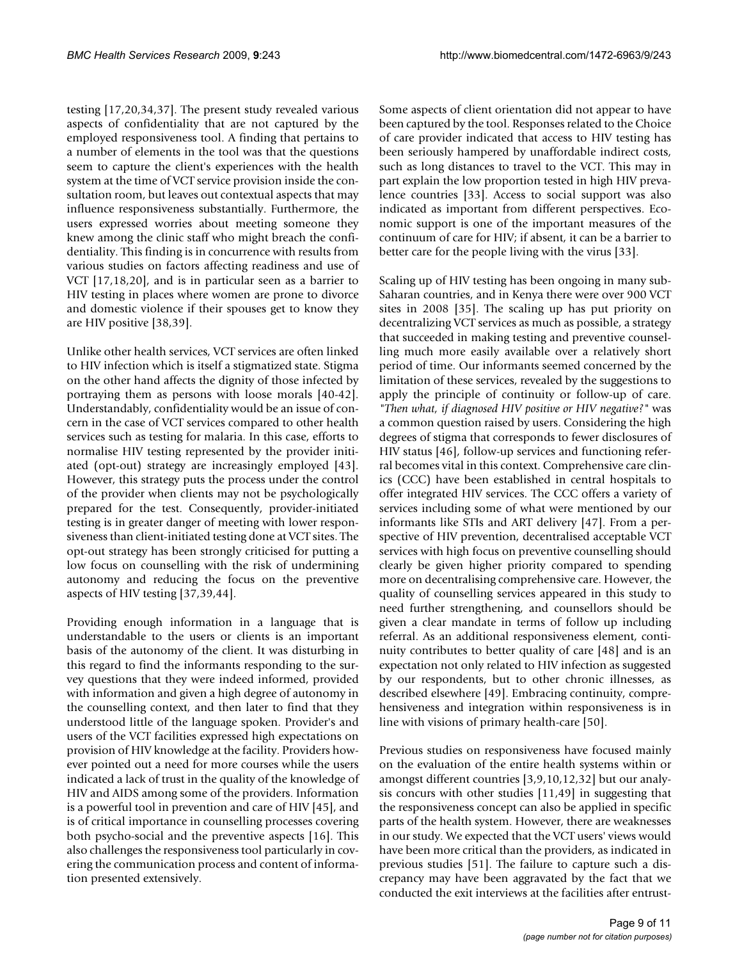testing [17,20,34,37]. The present study revealed various aspects of confidentiality that are not captured by the employed responsiveness tool. A finding that pertains to a number of elements in the tool was that the questions seem to capture the client's experiences with the health system at the time of VCT service provision inside the consultation room, but leaves out contextual aspects that may influence responsiveness substantially. Furthermore, the users expressed worries about meeting someone they knew among the clinic staff who might breach the confidentiality. This finding is in concurrence with results from various studies on factors affecting readiness and use of VCT [17,18,20], and is in particular seen as a barrier to HIV testing in places where women are prone to divorce and domestic violence if their spouses get to know they are HIV positive [38,39].

Unlike other health services, VCT services are often linked to HIV infection which is itself a stigmatized state. Stigma on the other hand affects the dignity of those infected by portraying them as persons with loose morals [40-42]. Understandably, confidentiality would be an issue of concern in the case of VCT services compared to other health services such as testing for malaria. In this case, efforts to normalise HIV testing represented by the provider initiated (opt-out) strategy are increasingly employed [43]. However, this strategy puts the process under the control of the provider when clients may not be psychologically prepared for the test. Consequently, provider-initiated testing is in greater danger of meeting with lower responsiveness than client-initiated testing done at VCT sites. The opt-out strategy has been strongly criticised for putting a low focus on counselling with the risk of undermining autonomy and reducing the focus on the preventive aspects of HIV testing [37,39,44].

Providing enough information in a language that is understandable to the users or clients is an important basis of the autonomy of the client. It was disturbing in this regard to find the informants responding to the survey questions that they were indeed informed, provided with information and given a high degree of autonomy in the counselling context, and then later to find that they understood little of the language spoken. Provider's and users of the VCT facilities expressed high expectations on provision of HIV knowledge at the facility. Providers however pointed out a need for more courses while the users indicated a lack of trust in the quality of the knowledge of HIV and AIDS among some of the providers. Information is a powerful tool in prevention and care of HIV [45], and is of critical importance in counselling processes covering both psycho-social and the preventive aspects [16]. This also challenges the responsiveness tool particularly in covering the communication process and content of information presented extensively.

Some aspects of client orientation did not appear to have been captured by the tool. Responses related to the Choice of care provider indicated that access to HIV testing has been seriously hampered by unaffordable indirect costs, such as long distances to travel to the VCT. This may in part explain the low proportion tested in high HIV prevalence countries [33]. Access to social support was also indicated as important from different perspectives. Economic support is one of the important measures of the continuum of care for HIV; if absent, it can be a barrier to better care for the people living with the virus [33].

Scaling up of HIV testing has been ongoing in many sub-Saharan countries, and in Kenya there were over 900 VCT sites in 2008 [35]. The scaling up has put priority on decentralizing VCT services as much as possible, a strategy that succeeded in making testing and preventive counselling much more easily available over a relatively short period of time. Our informants seemed concerned by the limitation of these services, revealed by the suggestions to apply the principle of continuity or follow-up of care. *"Then what, if diagnosed HIV positive or HIV negative?"* was a common question raised by users. Considering the high degrees of stigma that corresponds to fewer disclosures of HIV status [46], follow-up services and functioning referral becomes vital in this context. Comprehensive care clinics (CCC) have been established in central hospitals to offer integrated HIV services. The CCC offers a variety of services including some of what were mentioned by our informants like STIs and ART delivery [47]. From a perspective of HIV prevention, decentralised acceptable VCT services with high focus on preventive counselling should clearly be given higher priority compared to spending more on decentralising comprehensive care. However, the quality of counselling services appeared in this study to need further strengthening, and counsellors should be given a clear mandate in terms of follow up including referral. As an additional responsiveness element, continuity contributes to better quality of care [48] and is an expectation not only related to HIV infection as suggested by our respondents, but to other chronic illnesses, as described elsewhere [49]. Embracing continuity, comprehensiveness and integration within responsiveness is in line with visions of primary health-care [50].

Previous studies on responsiveness have focused mainly on the evaluation of the entire health systems within or amongst different countries [3,9,10,12,32] but our analysis concurs with other studies [11,49] in suggesting that the responsiveness concept can also be applied in specific parts of the health system. However, there are weaknesses in our study. We expected that the VCT users' views would have been more critical than the providers, as indicated in previous studies [51]. The failure to capture such a discrepancy may have been aggravated by the fact that we conducted the exit interviews at the facilities after entrust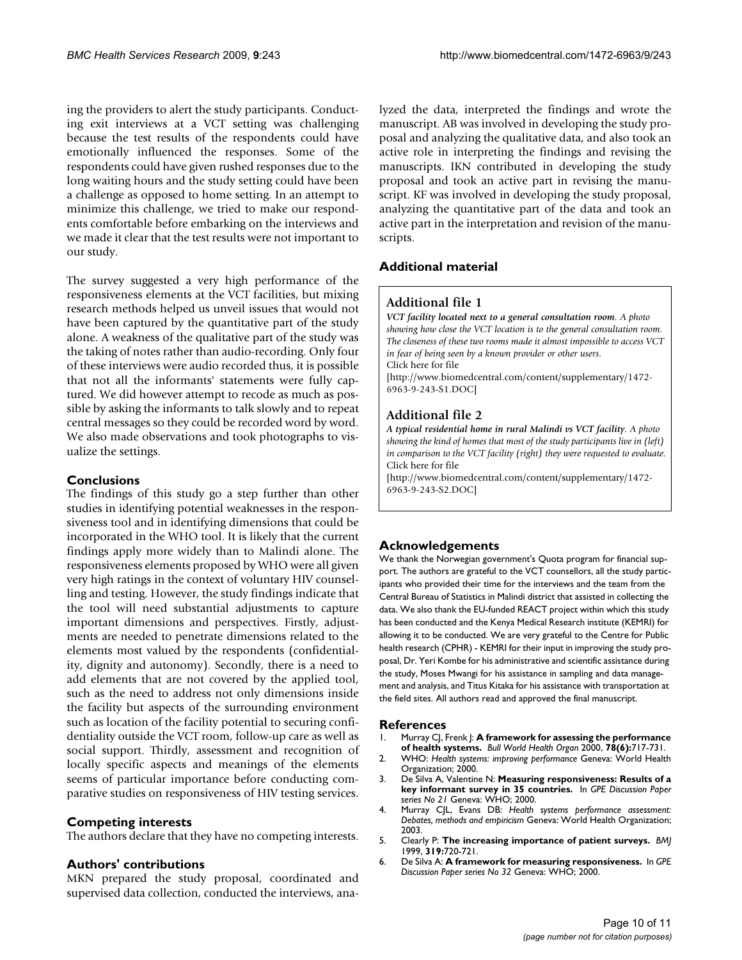ing the providers to alert the study participants. Conducting exit interviews at a VCT setting was challenging because the test results of the respondents could have emotionally influenced the responses. Some of the respondents could have given rushed responses due to the long waiting hours and the study setting could have been a challenge as opposed to home setting. In an attempt to minimize this challenge, we tried to make our respondents comfortable before embarking on the interviews and we made it clear that the test results were not important to our study.

The survey suggested a very high performance of the responsiveness elements at the VCT facilities, but mixing research methods helped us unveil issues that would not have been captured by the quantitative part of the study alone. A weakness of the qualitative part of the study was the taking of notes rather than audio-recording. Only four of these interviews were audio recorded thus, it is possible that not all the informants' statements were fully captured. We did however attempt to recode as much as possible by asking the informants to talk slowly and to repeat central messages so they could be recorded word by word. We also made observations and took photographs to visualize the settings.

## **Conclusions**

The findings of this study go a step further than other studies in identifying potential weaknesses in the responsiveness tool and in identifying dimensions that could be incorporated in the WHO tool. It is likely that the current findings apply more widely than to Malindi alone. The responsiveness elements proposed by WHO were all given very high ratings in the context of voluntary HIV counselling and testing. However, the study findings indicate that the tool will need substantial adjustments to capture important dimensions and perspectives. Firstly, adjustments are needed to penetrate dimensions related to the elements most valued by the respondents (confidentiality, dignity and autonomy). Secondly, there is a need to add elements that are not covered by the applied tool, such as the need to address not only dimensions inside the facility but aspects of the surrounding environment such as location of the facility potential to securing confidentiality outside the VCT room, follow-up care as well as social support. Thirdly, assessment and recognition of locally specific aspects and meanings of the elements seems of particular importance before conducting comparative studies on responsiveness of HIV testing services.

## **Competing interests**

The authors declare that they have no competing interests.

#### **Authors' contributions**

MKN prepared the study proposal, coordinated and supervised data collection, conducted the interviews, analyzed the data, interpreted the findings and wrote the manuscript. AB was involved in developing the study proposal and analyzing the qualitative data, and also took an active role in interpreting the findings and revising the manuscripts. IKN contributed in developing the study proposal and took an active part in revising the manuscript. KF was involved in developing the study proposal, analyzing the quantitative part of the data and took an active part in the interpretation and revision of the manuscripts.

## **Additional material**

#### **Additional file 1**

*VCT facility located next to a general consultation room. A photo showing how close the VCT location is to the general consultation room. The closeness of these two rooms made it almost impossible to access VCT in fear of being seen by a known provider or other users.* Click here for file

[\[http://www.biomedcentral.com/content/supplementary/1472-](http://www.biomedcentral.com/content/supplementary/1472-6963-9-243-S1.DOC) 6963-9-243-S1.DOC]

## **Additional file 2**

*A typical residential home in rural Malindi vs VCT facility. A photo showing the kind of homes that most of the study participants live in (left) in comparison to the VCT facility (right) they were requested to evaluate.* Click here for file

[\[http://www.biomedcentral.com/content/supplementary/1472-](http://www.biomedcentral.com/content/supplementary/1472-6963-9-243-S2.DOC) 6963-9-243-S2.DOC]

## **Acknowledgements**

We thank the Norwegian government's Quota program for financial support. The authors are grateful to the VCT counsellors, all the study participants who provided their time for the interviews and the team from the Central Bureau of Statistics in Malindi district that assisted in collecting the data. We also thank the EU-funded REACT project within which this study has been conducted and the Kenya Medical Research institute (KEMRI) for allowing it to be conducted. We are very grateful to the Centre for Public health research (CPHR) - KEMRI for their input in improving the study proposal, Dr. Yeri Kombe for his administrative and scientific assistance during the study, Moses Mwangi for his assistance in sampling and data management and analysis, and Titus Kitaka for his assistance with transportation at the field sites. All authors read and approved the final manuscript.

#### **References**

- 1. Murray CJ, Frenk J: **[A framework for assessing the performance](http://www.ncbi.nlm.nih.gov/entrez/query.fcgi?cmd=Retrieve&db=PubMed&dopt=Abstract&list_uids=10916909) [of health systems.](http://www.ncbi.nlm.nih.gov/entrez/query.fcgi?cmd=Retrieve&db=PubMed&dopt=Abstract&list_uids=10916909)** *Bull World Health Organ* 2000, **78(6):**717-731.
- 2. WHO: *Health systems: improving performance* Geneva: World Health Organization; 2000.
- 3. De Silva A, Valentine N: **Measuring responsiveness: Results of a key informant survey in 35 countries.** In *GPE Discussion Paper series No 21* Geneva: WHO; 2000.
- 4. Murray CJL, Evans DB: *Health systems performance assessment: Debates, methods and empiricism* Geneva: World Health Organization; 2003.
- 5. Clearly P: **[The increasing importance of patient surveys.](http://www.ncbi.nlm.nih.gov/entrez/query.fcgi?cmd=Retrieve&db=PubMed&dopt=Abstract&list_uids=10487981)** *BMJ* 1999, **319:**720-721.
- 6. De Silva A: **A framework for measuring responsiveness.** In *GPE Discussion Paper series No 32* Geneva: WHO; 2000.